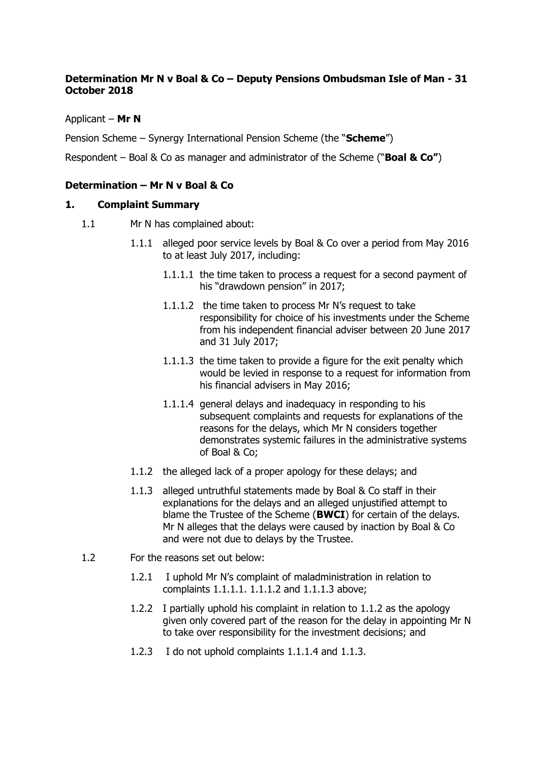# **Determination Mr N v Boal & Co – Deputy Pensions Ombudsman Isle of Man - 31 October 2018**

## Applicant – **Mr N**

Pension Scheme – Synergy International Pension Scheme (the "**Scheme**")

Respondent – Boal & Co as manager and administrator of the Scheme ("**Boal & Co"**)

## **Determination – Mr N v Boal & Co**

## **1. Complaint Summary**

- 1.1 Mr N has complained about:
	- 1.1.1 alleged poor service levels by Boal & Co over a period from May 2016 to at least July 2017, including:
		- 1.1.1.1 the time taken to process a request for a second payment of his "drawdown pension" in 2017;
		- 1.1.1.2 the time taken to process Mr N's request to take responsibility for choice of his investments under the Scheme from his independent financial adviser between 20 June 2017 and 31 July 2017;
		- 1.1.1.3 the time taken to provide a figure for the exit penalty which would be levied in response to a request for information from his financial advisers in May 2016;
		- 1.1.1.4 general delays and inadequacy in responding to his subsequent complaints and requests for explanations of the reasons for the delays, which Mr N considers together demonstrates systemic failures in the administrative systems of Boal & Co;
	- 1.1.2 the alleged lack of a proper apology for these delays; and
	- 1.1.3 alleged untruthful statements made by Boal & Co staff in their explanations for the delays and an alleged unjustified attempt to blame the Trustee of the Scheme (**BWCI**) for certain of the delays. Mr N alleges that the delays were caused by inaction by Boal & Co and were not due to delays by the Trustee.
- 1.2 For the reasons set out below:
	- 1.2.1 I uphold Mr N's complaint of maladministration in relation to complaints 1.1.1.1. 1.1.1.2 and 1.1.1.3 above;
	- 1.2.2 I partially uphold his complaint in relation to 1.1.2 as the apology given only covered part of the reason for the delay in appointing Mr N to take over responsibility for the investment decisions; and
	- 1.2.3 I do not uphold complaints 1.1.1.4 and 1.1.3.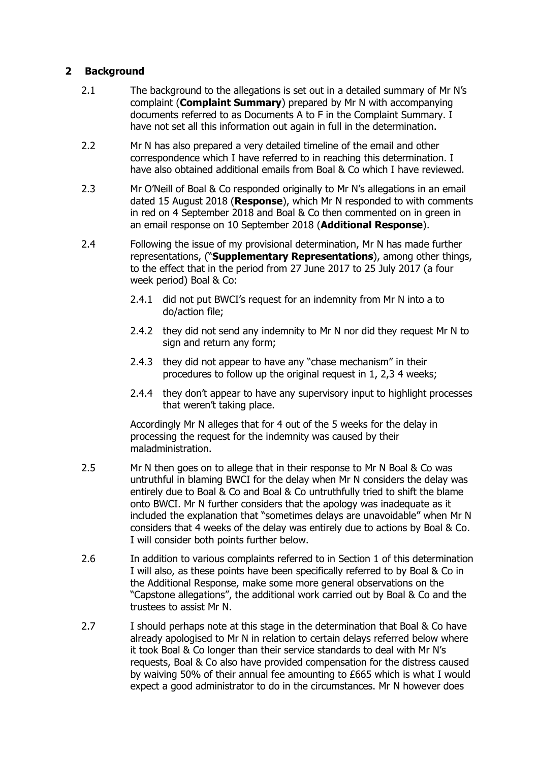# **2 Background**

- 2.1 The background to the allegations is set out in a detailed summary of Mr N's complaint (**Complaint Summary**) prepared by Mr N with accompanying documents referred to as Documents A to F in the Complaint Summary. I have not set all this information out again in full in the determination.
- 2.2 Mr N has also prepared a very detailed timeline of the email and other correspondence which I have referred to in reaching this determination. I have also obtained additional emails from Boal & Co which I have reviewed.
- 2.3 Mr O'Neill of Boal & Co responded originally to Mr N's allegations in an email dated 15 August 2018 (**Response**), which Mr N responded to with comments in red on 4 September 2018 and Boal & Co then commented on in green in an email response on 10 September 2018 (**Additional Response**).
- 2.4 Following the issue of my provisional determination, Mr N has made further representations, ("**Supplementary Representations**), among other things, to the effect that in the period from 27 June 2017 to 25 July 2017 (a four week period) Boal & Co:
	- 2.4.1 did not put BWCI's request for an indemnity from Mr N into a to do/action file;
	- 2.4.2 they did not send any indemnity to Mr N nor did they request Mr N to sign and return any form;
	- 2.4.3 they did not appear to have any "chase mechanism" in their procedures to follow up the original request in 1, 2,3 4 weeks;
	- 2.4.4 they don't appear to have any supervisory input to highlight processes that weren't taking place.

Accordingly Mr N alleges that for 4 out of the 5 weeks for the delay in processing the request for the indemnity was caused by their maladministration.

- 2.5 Mr N then goes on to allege that in their response to Mr N Boal & Co was untruthful in blaming BWCI for the delay when Mr N considers the delay was entirely due to Boal & Co and Boal & Co untruthfully tried to shift the blame onto BWCI. Mr N further considers that the apology was inadequate as it included the explanation that "sometimes delays are unavoidable" when Mr N considers that 4 weeks of the delay was entirely due to actions by Boal & Co. I will consider both points further below.
- 2.6 In addition to various complaints referred to in Section 1 of this determination I will also, as these points have been specifically referred to by Boal & Co in the Additional Response, make some more general observations on the "Capstone allegations", the additional work carried out by Boal & Co and the trustees to assist Mr N.
- 2.7 I should perhaps note at this stage in the determination that Boal & Co have already apologised to Mr N in relation to certain delays referred below where it took Boal & Co longer than their service standards to deal with Mr N's requests, Boal & Co also have provided compensation for the distress caused by waiving 50% of their annual fee amounting to £665 which is what I would expect a good administrator to do in the circumstances. Mr N however does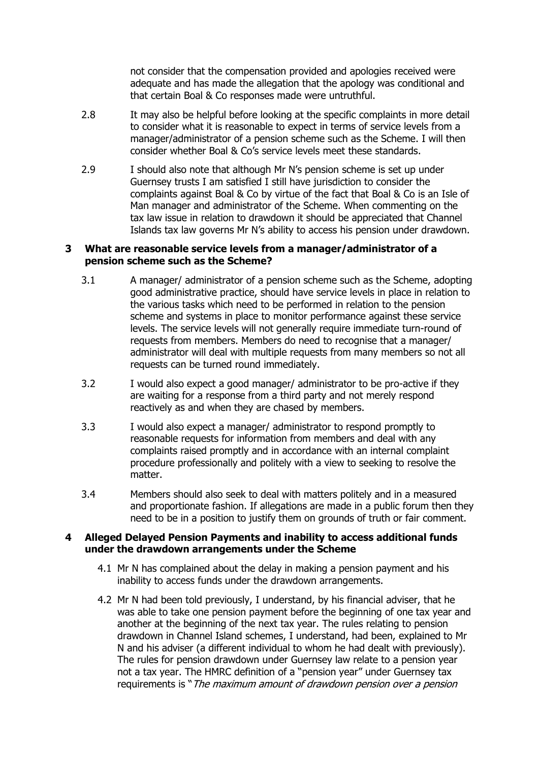not consider that the compensation provided and apologies received were adequate and has made the allegation that the apology was conditional and that certain Boal & Co responses made were untruthful.

- 2.8 It may also be helpful before looking at the specific complaints in more detail to consider what it is reasonable to expect in terms of service levels from a manager/administrator of a pension scheme such as the Scheme. I will then consider whether Boal & Co's service levels meet these standards.
- 2.9 I should also note that although Mr N's pension scheme is set up under Guernsey trusts I am satisfied I still have jurisdiction to consider the complaints against Boal & Co by virtue of the fact that Boal & Co is an Isle of Man manager and administrator of the Scheme. When commenting on the tax law issue in relation to drawdown it should be appreciated that Channel Islands tax law governs Mr N's ability to access his pension under drawdown.

### **3 What are reasonable service levels from a manager/administrator of a pension scheme such as the Scheme?**

- 3.1 A manager/ administrator of a pension scheme such as the Scheme, adopting good administrative practice, should have service levels in place in relation to the various tasks which need to be performed in relation to the pension scheme and systems in place to monitor performance against these service levels. The service levels will not generally require immediate turn-round of requests from members. Members do need to recognise that a manager/ administrator will deal with multiple requests from many members so not all requests can be turned round immediately.
- 3.2 I would also expect a good manager/ administrator to be pro-active if they are waiting for a response from a third party and not merely respond reactively as and when they are chased by members.
- 3.3 I would also expect a manager/ administrator to respond promptly to reasonable requests for information from members and deal with any complaints raised promptly and in accordance with an internal complaint procedure professionally and politely with a view to seeking to resolve the matter.
- 3.4 Members should also seek to deal with matters politely and in a measured and proportionate fashion. If allegations are made in a public forum then they need to be in a position to justify them on grounds of truth or fair comment.

### **4 Alleged Delayed Pension Payments and inability to access additional funds under the drawdown arrangements under the Scheme**

- 4.1 Mr N has complained about the delay in making a pension payment and his inability to access funds under the drawdown arrangements.
- 4.2 Mr N had been told previously, I understand, by his financial adviser, that he was able to take one pension payment before the beginning of one tax year and another at the beginning of the next tax year. The rules relating to pension drawdown in Channel Island schemes, I understand, had been, explained to Mr N and his adviser (a different individual to whom he had dealt with previously). The rules for pension drawdown under Guernsey law relate to a pension year not a tax year. The HMRC definition of a "pension year" under Guernsey tax requirements is "The maximum amount of drawdown pension over a pension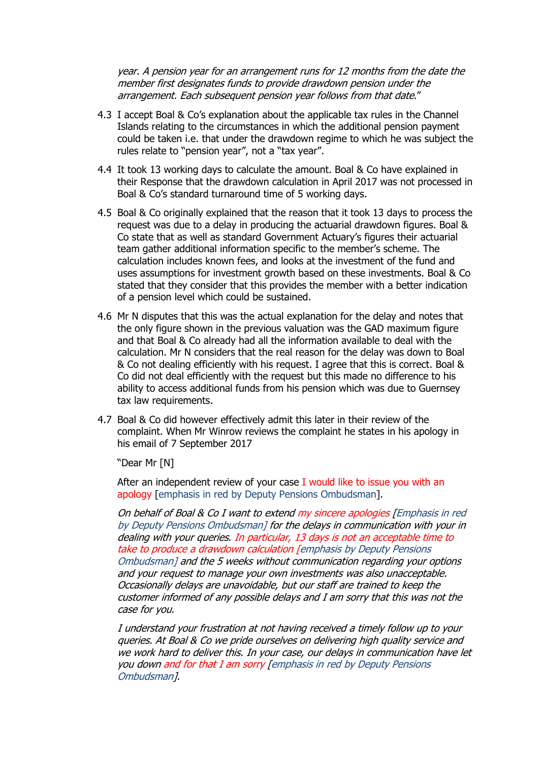year. A pension year for an arrangement runs for 12 months from the date the member first designates funds to provide drawdown pension under the arrangement. Each subsequent pension year follows from that date."

- 4.3 I accept Boal & Co's explanation about the applicable tax rules in the Channel Islands relating to the circumstances in which the additional pension payment could be taken i.e. that under the drawdown regime to which he was subject the rules relate to "pension year", not a "tax year".
- 4.4 It took 13 working days to calculate the amount. Boal & Co have explained in their Response that the drawdown calculation in April 2017 was not processed in Boal & Co's standard turnaround time of 5 working days.
- 4.5 Boal & Co originally explained that the reason that it took 13 days to process the request was due to a delay in producing the actuarial drawdown figures. Boal & Co state that as well as standard Government Actuary's figures their actuarial team gather additional information specific to the member's scheme. The calculation includes known fees, and looks at the investment of the fund and uses assumptions for investment growth based on these investments. Boal & Co stated that they consider that this provides the member with a better indication of a pension level which could be sustained.
- 4.6 Mr N disputes that this was the actual explanation for the delay and notes that the only figure shown in the previous valuation was the GAD maximum figure and that Boal & Co already had all the information available to deal with the calculation. Mr N considers that the real reason for the delay was down to Boal & Co not dealing efficiently with his request. I agree that this is correct. Boal & Co did not deal efficiently with the request but this made no difference to his ability to access additional funds from his pension which was due to Guernsey tax law requirements.
- 4.7 Boal & Co did however effectively admit this later in their review of the complaint. When Mr Winrow reviews the complaint he states in his apology in his email of 7 September 2017

"Dear Mr [N]

After an independent review of your case I would like to issue you with an apology [emphasis in red by Deputy Pensions Ombudsman].

On behalf of Boal & Co I want to extend my sincere apologies [Emphasis in red by Deputy Pensions Ombudsman] for the delays in communication with your in dealing with your queries. In particular, 13 days is not an acceptable time to take to produce a drawdown calculation [emphasis by Deputy Pensions Ombudsman] and the 5 weeks without communication regarding your options and your request to manage your own investments was also unacceptable. Occasionally delays are unavoidable, but our staff are trained to keep the customer informed of any possible delays and I am sorry that this was not the case for you.

I understand your frustration at not having received a timely follow up to your queries. At Boal & Co we pride ourselves on delivering high quality service and we work hard to deliver this. In your case, our delays in communication have let you down and for that I am sorry [emphasis in red by Deputy Pensions Ombudsman].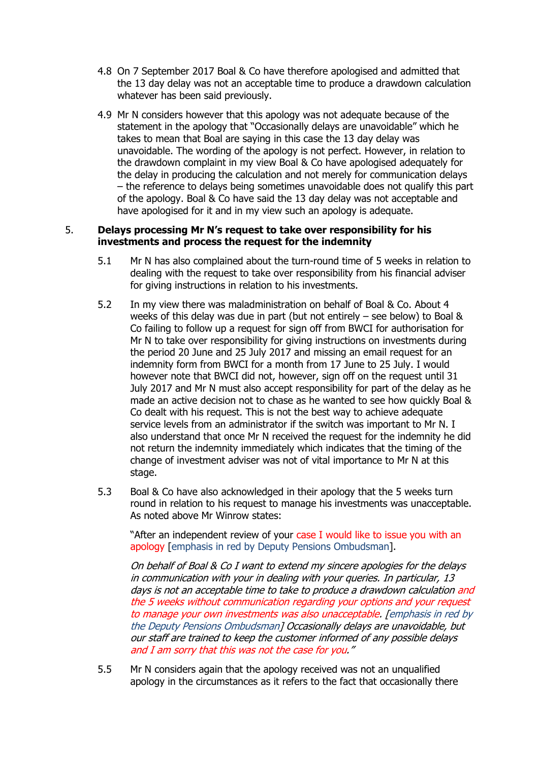- 4.8 On 7 September 2017 Boal & Co have therefore apologised and admitted that the 13 day delay was not an acceptable time to produce a drawdown calculation whatever has been said previously.
- 4.9 Mr N considers however that this apology was not adequate because of the statement in the apology that "Occasionally delays are unavoidable" which he takes to mean that Boal are saying in this case the 13 day delay was unavoidable. The wording of the apology is not perfect. However, in relation to the drawdown complaint in my view Boal & Co have apologised adequately for the delay in producing the calculation and not merely for communication delays – the reference to delays being sometimes unavoidable does not qualify this part of the apology. Boal & Co have said the 13 day delay was not acceptable and have apologised for it and in my view such an apology is adequate.

### 5. **Delays processing Mr N's request to take over responsibility for his investments and process the request for the indemnity**

- 5.1 Mr N has also complained about the turn-round time of 5 weeks in relation to dealing with the request to take over responsibility from his financial adviser for giving instructions in relation to his investments.
- 5.2 In my view there was maladministration on behalf of Boal & Co. About 4 weeks of this delay was due in part (but not entirely – see below) to Boal & Co failing to follow up a request for sign off from BWCI for authorisation for Mr N to take over responsibility for giving instructions on investments during the period 20 June and 25 July 2017 and missing an email request for an indemnity form from BWCI for a month from 17 June to 25 July. I would however note that BWCI did not, however, sign off on the request until 31 July 2017 and Mr N must also accept responsibility for part of the delay as he made an active decision not to chase as he wanted to see how quickly Boal & Co dealt with his request. This is not the best way to achieve adequate service levels from an administrator if the switch was important to Mr N. I also understand that once Mr N received the request for the indemnity he did not return the indemnity immediately which indicates that the timing of the change of investment adviser was not of vital importance to Mr N at this stage.
- 5.3 Boal & Co have also acknowledged in their apology that the 5 weeks turn round in relation to his request to manage his investments was unacceptable. As noted above Mr Winrow states:

"After an independent review of your case I would like to issue you with an apology [emphasis in red by Deputy Pensions Ombudsman].

On behalf of Boal & Co I want to extend my sincere apologies for the delays in communication with your in dealing with your queries. In particular, 13 days is not an acceptable time to take to produce a drawdown calculation and the 5 weeks without communication regarding your options and your request to manage your own investments was also unacceptable. [emphasis in red by the Deputy Pensions Ombudsman] Occasionally delays are unavoidable, but our staff are trained to keep the customer informed of any possible delays and I am sorry that this was not the case for you."

5.5 Mr N considers again that the apology received was not an unqualified apology in the circumstances as it refers to the fact that occasionally there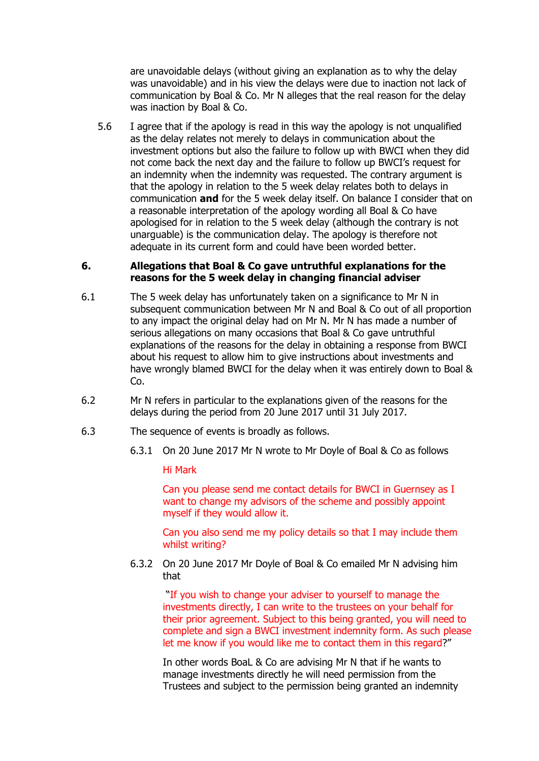are unavoidable delays (without giving an explanation as to why the delay was unavoidable) and in his view the delays were due to inaction not lack of communication by Boal & Co. Mr N alleges that the real reason for the delay was inaction by Boal & Co.

5.6 I agree that if the apology is read in this way the apology is not unqualified as the delay relates not merely to delays in communication about the investment options but also the failure to follow up with BWCI when they did not come back the next day and the failure to follow up BWCI's request for an indemnity when the indemnity was requested. The contrary argument is that the apology in relation to the 5 week delay relates both to delays in communication **and** for the 5 week delay itself. On balance I consider that on a reasonable interpretation of the apology wording all Boal & Co have apologised for in relation to the 5 week delay (although the contrary is not unarguable) is the communication delay. The apology is therefore not adequate in its current form and could have been worded better.

#### **6. Allegations that Boal & Co gave untruthful explanations for the reasons for the 5 week delay in changing financial adviser**

- 6.1 The 5 week delay has unfortunately taken on a significance to Mr N in subsequent communication between Mr N and Boal & Co out of all proportion to any impact the original delay had on Mr N. Mr N has made a number of serious allegations on many occasions that Boal & Co gave untruthful explanations of the reasons for the delay in obtaining a response from BWCI about his request to allow him to give instructions about investments and have wrongly blamed BWCI for the delay when it was entirely down to Boal & Co.
- 6.2 Mr N refers in particular to the explanations given of the reasons for the delays during the period from 20 June 2017 until 31 July 2017.
- 6.3 The sequence of events is broadly as follows.
	- 6.3.1 On 20 June 2017 Mr N wrote to Mr Doyle of Boal & Co as follows

Hi Mark

Can you please send me contact details for BWCI in Guernsey as I want to change my advisors of the scheme and possibly appoint myself if they would allow it.

Can you also send me my policy details so that I may include them whilst writing?

6.3.2 On 20 June 2017 Mr Doyle of Boal & Co emailed Mr N advising him that

"If you wish to change your adviser to yourself to manage the investments directly, I can write to the trustees on your behalf for their prior agreement. Subject to this being granted, you will need to complete and sign a BWCI investment indemnity form. As such please let me know if you would like me to contact them in this regard?"

In other words BoaL & Co are advising Mr N that if he wants to manage investments directly he will need permission from the Trustees and subject to the permission being granted an indemnity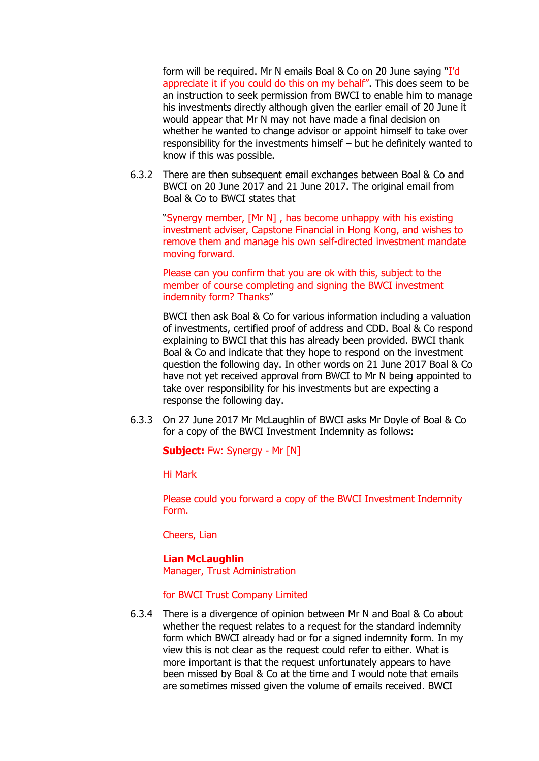form will be required. Mr N emails Boal & Co on 20 June saying "I'd appreciate it if you could do this on my behalf". This does seem to be an instruction to seek permission from BWCI to enable him to manage his investments directly although given the earlier email of 20 June it would appear that Mr N may not have made a final decision on whether he wanted to change advisor or appoint himself to take over responsibility for the investments himself – but he definitely wanted to know if this was possible.

6.3.2 There are then subsequent email exchanges between Boal & Co and BWCI on 20 June 2017 and 21 June 2017. The original email from Boal & Co to BWCI states that

"Synergy member, [Mr N] , has become unhappy with his existing investment adviser, Capstone Financial in Hong Kong, and wishes to remove them and manage his own self-directed investment mandate moving forward.

Please can you confirm that you are ok with this, subject to the member of course completing and signing the BWCI investment indemnity form? Thanks"

BWCI then ask Boal & Co for various information including a valuation of investments, certified proof of address and CDD. Boal & Co respond explaining to BWCI that this has already been provided. BWCI thank Boal & Co and indicate that they hope to respond on the investment question the following day. In other words on 21 June 2017 Boal & Co have not yet received approval from BWCI to Mr N being appointed to take over responsibility for his investments but are expecting a response the following day.

6.3.3 On 27 June 2017 Mr McLaughlin of BWCI asks Mr Doyle of Boal & Co for a copy of the BWCI Investment Indemnity as follows:

**Subject:** Fw: Synergy - Mr [N]

Hi Mark

Please could you forward a copy of the BWCI Investment Indemnity Form.

Cheers, Lian

## **Lian McLaughlin**

Manager, Trust Administration

for BWCI Trust Company Limited

6.3.4 There is a divergence of opinion between Mr N and Boal & Co about whether the request relates to a request for the standard indemnity form which BWCI already had or for a signed indemnity form. In my view this is not clear as the request could refer to either. What is more important is that the request unfortunately appears to have been missed by Boal & Co at the time and I would note that emails are sometimes missed given the volume of emails received. BWCI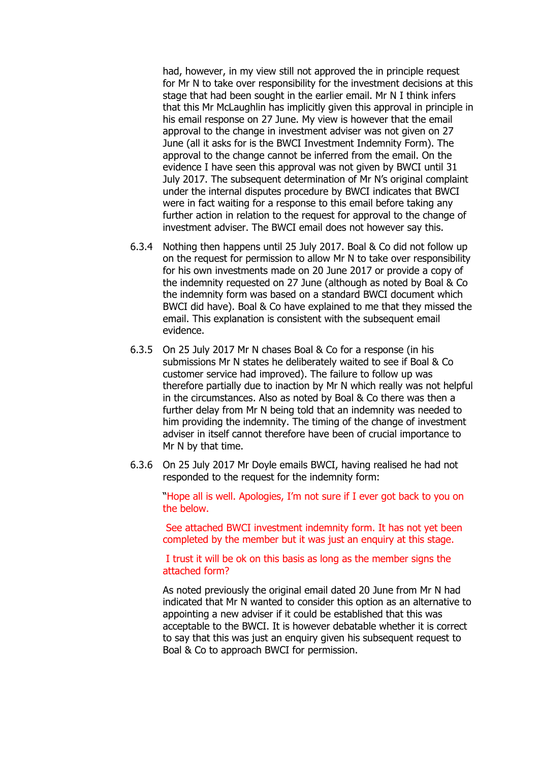had, however, in my view still not approved the in principle request for Mr N to take over responsibility for the investment decisions at this stage that had been sought in the earlier email. Mr N I think infers that this Mr McLaughlin has implicitly given this approval in principle in his email response on 27 June. My view is however that the email approval to the change in investment adviser was not given on 27 June (all it asks for is the BWCI Investment Indemnity Form). The approval to the change cannot be inferred from the email. On the evidence I have seen this approval was not given by BWCI until 31 July 2017. The subsequent determination of Mr N's original complaint under the internal disputes procedure by BWCI indicates that BWCI were in fact waiting for a response to this email before taking any further action in relation to the request for approval to the change of investment adviser. The BWCI email does not however say this.

- 6.3.4 Nothing then happens until 25 July 2017. Boal & Co did not follow up on the request for permission to allow Mr N to take over responsibility for his own investments made on 20 June 2017 or provide a copy of the indemnity requested on 27 June (although as noted by Boal & Co the indemnity form was based on a standard BWCI document which BWCI did have). Boal & Co have explained to me that they missed the email. This explanation is consistent with the subsequent email evidence.
- 6.3.5 On 25 July 2017 Mr N chases Boal & Co for a response (in his submissions Mr N states he deliberately waited to see if Boal & Co customer service had improved). The failure to follow up was therefore partially due to inaction by Mr N which really was not helpful in the circumstances. Also as noted by Boal & Co there was then a further delay from Mr N being told that an indemnity was needed to him providing the indemnity. The timing of the change of investment adviser in itself cannot therefore have been of crucial importance to Mr N by that time.
- 6.3.6 On 25 July 2017 Mr Doyle emails BWCI, having realised he had not responded to the request for the indemnity form:

"Hope all is well. Apologies, I'm not sure if I ever got back to you on the below.

See attached BWCI investment indemnity form. It has not yet been completed by the member but it was just an enquiry at this stage.

I trust it will be ok on this basis as long as the member signs the attached form?

As noted previously the original email dated 20 June from Mr N had indicated that Mr N wanted to consider this option as an alternative to appointing a new adviser if it could be established that this was acceptable to the BWCI. It is however debatable whether it is correct to say that this was just an enquiry given his subsequent request to Boal & Co to approach BWCI for permission.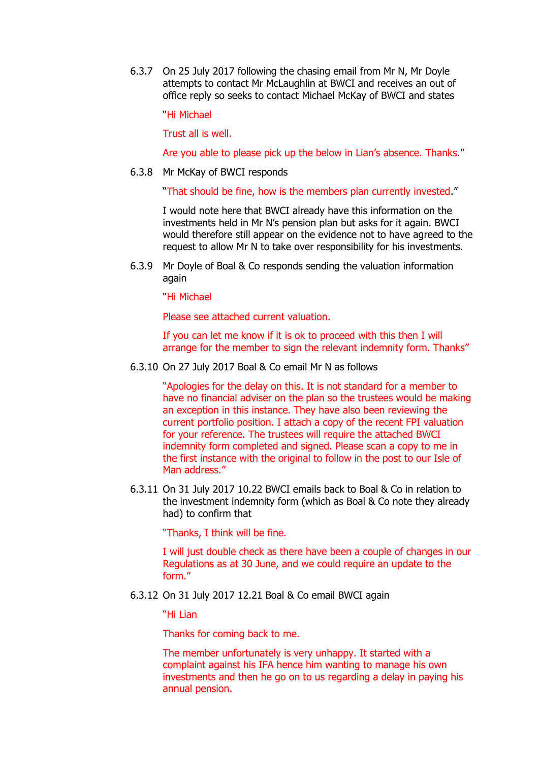6.3.7 On 25 July 2017 following the chasing email from Mr N, Mr Doyle attempts to contact Mr McLaughlin at BWCI and receives an out of office reply so seeks to contact Michael McKay of BWCI and states

"Hi Michael

Trust all is well.

Are you able to please pick up the below in Lian's absence. Thanks."

6.3.8 Mr McKay of BWCI responds

"That should be fine, how is the members plan currently invested."

I would note here that BWCI already have this information on the investments held in Mr N's pension plan but asks for it again. BWCI would therefore still appear on the evidence not to have agreed to the request to allow Mr N to take over responsibility for his investments.

6.3.9 Mr Doyle of Boal & Co responds sending the valuation information again

"Hi Michael

Please see attached current valuation.

If you can let me know if it is ok to proceed with this then I will arrange for the member to sign the relevant indemnity form. Thanks"

6.3.10 On 27 July 2017 Boal & Co email Mr N as follows

"Apologies for the delay on this. It is not standard for a member to have no financial adviser on the plan so the trustees would be making an exception in this instance. They have also been reviewing the current portfolio position. I attach a copy of the recent FPI valuation for your reference. The trustees will require the attached BWCI indemnity form completed and signed. Please scan a copy to me in the first instance with the original to follow in the post to our Isle of Man address."

6.3.11 On 31 July 2017 10.22 BWCI emails back to Boal & Co in relation to the investment indemnity form (which as Boal & Co note they already had) to confirm that

"Thanks, I think will be fine.

I will just double check as there have been a couple of changes in our Regulations as at 30 June, and we could require an update to the form."

6.3.12 On 31 July 2017 12.21 Boal & Co email BWCI again

"Hi Lian

Thanks for coming back to me.

The member unfortunately is very unhappy. It started with a complaint against his IFA hence him wanting to manage his own investments and then he go on to us regarding a delay in paying his annual pension.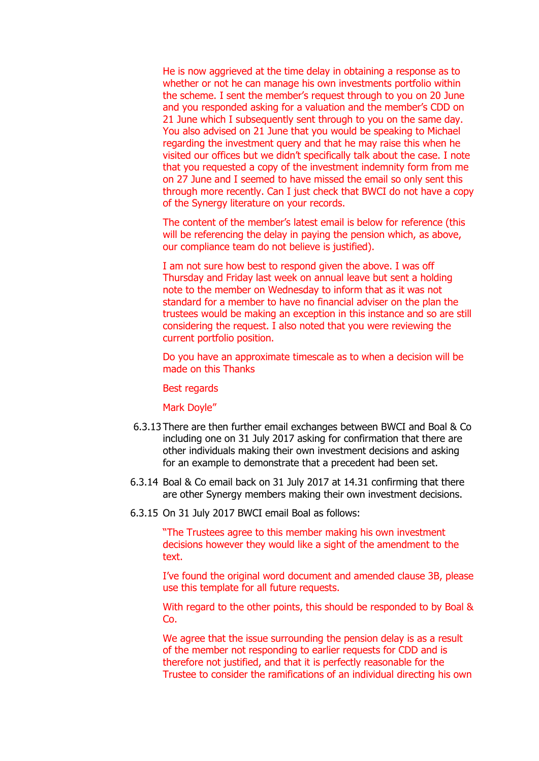He is now aggrieved at the time delay in obtaining a response as to whether or not he can manage his own investments portfolio within the scheme. I sent the member's request through to you on 20 June and you responded asking for a valuation and the member's CDD on 21 June which I subsequently sent through to you on the same day. You also advised on 21 June that you would be speaking to Michael regarding the investment query and that he may raise this when he visited our offices but we didn't specifically talk about the case. I note that you requested a copy of the investment indemnity form from me on 27 June and I seemed to have missed the email so only sent this through more recently. Can I just check that BWCI do not have a copy of the Synergy literature on your records.

The content of the member's latest email is below for reference (this will be referencing the delay in paying the pension which, as above, our compliance team do not believe is justified).

I am not sure how best to respond given the above. I was off Thursday and Friday last week on annual leave but sent a holding note to the member on Wednesday to inform that as it was not standard for a member to have no financial adviser on the plan the trustees would be making an exception in this instance and so are still considering the request. I also noted that you were reviewing the current portfolio position.

Do you have an approximate timescale as to when a decision will be made on this Thanks

Best regards

Mark Doyle"

- 6.3.13 There are then further email exchanges between BWCI and Boal & Co including one on 31 July 2017 asking for confirmation that there are other individuals making their own investment decisions and asking for an example to demonstrate that a precedent had been set.
- 6.3.14 Boal & Co email back on 31 July 2017 at 14.31 confirming that there are other Synergy members making their own investment decisions.
- 6.3.15 On 31 July 2017 BWCI email Boal as follows:

"The Trustees agree to this member making his own investment decisions however they would like a sight of the amendment to the text.

I've found the original word document and amended clause 3B, please use this template for all future requests.

With regard to the other points, this should be responded to by Boal & Co.

We agree that the issue surrounding the pension delay is as a result of the member not responding to earlier requests for CDD and is therefore not justified, and that it is perfectly reasonable for the Trustee to consider the ramifications of an individual directing his own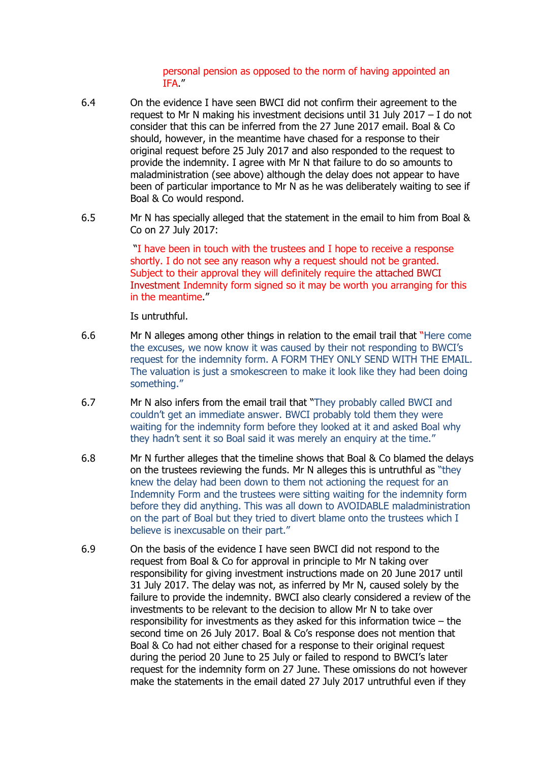#### personal pension as opposed to the norm of having appointed an IFA."

- 6.4 On the evidence I have seen BWCI did not confirm their agreement to the request to Mr N making his investment decisions until 31 July 2017 – I do not consider that this can be inferred from the 27 June 2017 email. Boal & Co should, however, in the meantime have chased for a response to their original request before 25 July 2017 and also responded to the request to provide the indemnity. I agree with Mr N that failure to do so amounts to maladministration (see above) although the delay does not appear to have been of particular importance to Mr N as he was deliberately waiting to see if Boal & Co would respond.
- 6.5 Mr N has specially alleged that the statement in the email to him from Boal & Co on 27 July 2017:

"I have been in touch with the trustees and I hope to receive a response shortly. I do not see any reason why a request should not be granted. Subject to their approval they will definitely require the attached BWCI Investment Indemnity form signed so it may be worth you arranging for this in the meantime."

Is untruthful.

- 6.6 Mr N alleges among other things in relation to the email trail that "Here come the excuses, we now know it was caused by their not responding to BWCI's request for the indemnity form. A FORM THEY ONLY SEND WITH THE EMAIL. The valuation is just a smokescreen to make it look like they had been doing something."
- 6.7 Mr N also infers from the email trail that "They probably called BWCI and couldn't get an immediate answer. BWCI probably told them they were waiting for the indemnity form before they looked at it and asked Boal why they hadn't sent it so Boal said it was merely an enquiry at the time."
- 6.8 Mr N further alleges that the timeline shows that Boal & Co blamed the delays on the trustees reviewing the funds. Mr N alleges this is untruthful as "they knew the delay had been down to them not actioning the request for an Indemnity Form and the trustees were sitting waiting for the indemnity form before they did anything. This was all down to AVOIDABLE maladministration on the part of Boal but they tried to divert blame onto the trustees which I believe is inexcusable on their part."
- 6.9 On the basis of the evidence I have seen BWCI did not respond to the request from Boal & Co for approval in principle to Mr N taking over responsibility for giving investment instructions made on 20 June 2017 until 31 July 2017. The delay was not, as inferred by Mr N, caused solely by the failure to provide the indemnity. BWCI also clearly considered a review of the investments to be relevant to the decision to allow Mr N to take over responsibility for investments as they asked for this information twice – the second time on 26 July 2017. Boal & Co's response does not mention that Boal & Co had not either chased for a response to their original request during the period 20 June to 25 July or failed to respond to BWCI's later request for the indemnity form on 27 June. These omissions do not however make the statements in the email dated 27 July 2017 untruthful even if they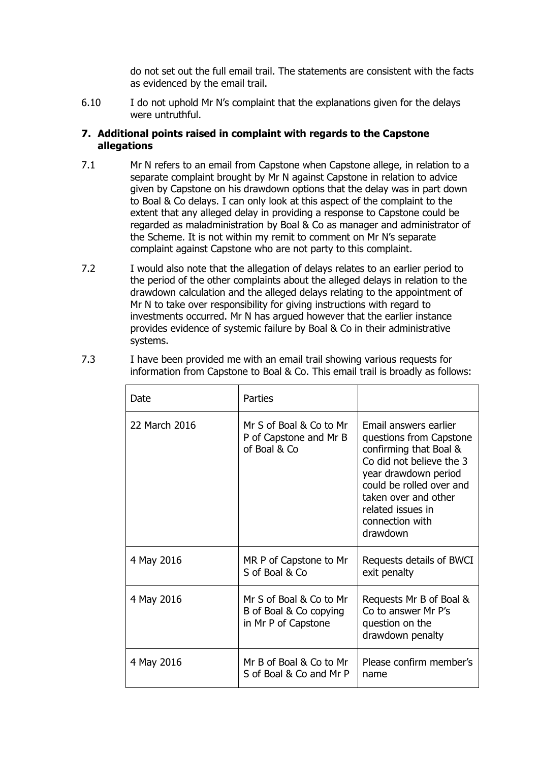do not set out the full email trail. The statements are consistent with the facts as evidenced by the email trail.

6.10 I do not uphold Mr N's complaint that the explanations given for the delays were untruthful.

## **7. Additional points raised in complaint with regards to the Capstone allegations**

- 7.1 Mr N refers to an email from Capstone when Capstone allege, in relation to a separate complaint brought by Mr N against Capstone in relation to advice given by Capstone on his drawdown options that the delay was in part down to Boal & Co delays. I can only look at this aspect of the complaint to the extent that any alleged delay in providing a response to Capstone could be regarded as maladministration by Boal & Co as manager and administrator of the Scheme. It is not within my remit to comment on Mr N's separate complaint against Capstone who are not party to this complaint.
- 7.2 I would also note that the allegation of delays relates to an earlier period to the period of the other complaints about the alleged delays in relation to the drawdown calculation and the alleged delays relating to the appointment of Mr N to take over responsibility for giving instructions with regard to investments occurred. Mr N has argued however that the earlier instance provides evidence of systemic failure by Boal & Co in their administrative systems.

| Date          | Parties                                                                  |                                                                                                                                                                                                                                        |
|---------------|--------------------------------------------------------------------------|----------------------------------------------------------------------------------------------------------------------------------------------------------------------------------------------------------------------------------------|
| 22 March 2016 | Mr S of Boal & Co to Mr<br>P of Capstone and Mr B<br>of Boal & Co        | Email answers earlier<br>questions from Capstone<br>confirming that Boal &<br>Co did not believe the 3<br>year drawdown period<br>could be rolled over and<br>taken over and other<br>related issues in<br>connection with<br>drawdown |
| 4 May 2016    | MR P of Capstone to Mr<br>S of Boal & Co                                 | Requests details of BWCI<br>exit penalty                                                                                                                                                                                               |
| 4 May 2016    | Mr S of Boal & Co to Mr<br>B of Boal & Co copying<br>in Mr P of Capstone | Requests Mr B of Boal &<br>Co to answer Mr P's<br>question on the<br>drawdown penalty                                                                                                                                                  |
| 4 May 2016    | Mr B of Boal & Co to Mr<br>S of Boal & Co and Mr P                       | Please confirm member's<br>name                                                                                                                                                                                                        |

7.3 I have been provided me with an email trail showing various requests for information from Capstone to Boal & Co. This email trail is broadly as follows: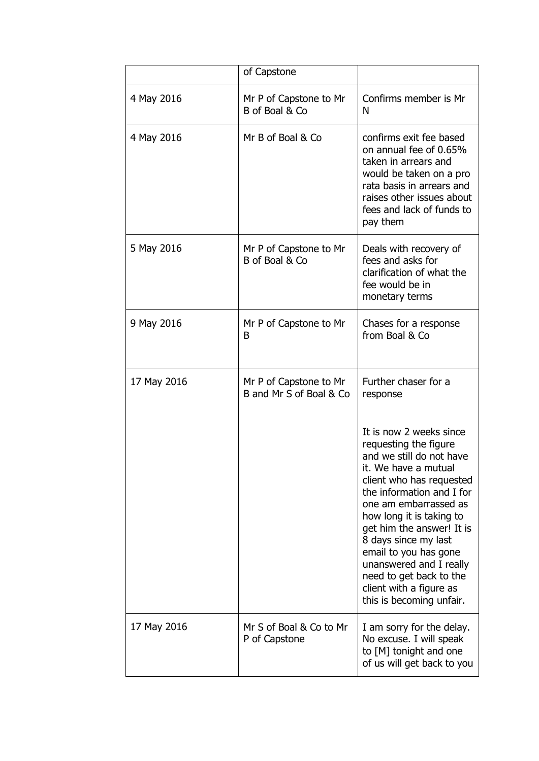|             | of Capstone                                       |                                                                                                                                                                                                                                                                                                                                                                                                               |
|-------------|---------------------------------------------------|---------------------------------------------------------------------------------------------------------------------------------------------------------------------------------------------------------------------------------------------------------------------------------------------------------------------------------------------------------------------------------------------------------------|
| 4 May 2016  | Mr P of Capstone to Mr<br>B of Boal & Co          | Confirms member is Mr<br>N                                                                                                                                                                                                                                                                                                                                                                                    |
| 4 May 2016  | Mr B of Boal & Co                                 | confirms exit fee based<br>on annual fee of 0.65%<br>taken in arrears and<br>would be taken on a pro<br>rata basis in arrears and<br>raises other issues about<br>fees and lack of funds to<br>pay them                                                                                                                                                                                                       |
| 5 May 2016  | Mr P of Capstone to Mr<br>B of Boal & Co          | Deals with recovery of<br>fees and asks for<br>clarification of what the<br>fee would be in<br>monetary terms                                                                                                                                                                                                                                                                                                 |
| 9 May 2016  | Mr P of Capstone to Mr<br>B                       | Chases for a response<br>from Boal & Co                                                                                                                                                                                                                                                                                                                                                                       |
| 17 May 2016 | Mr P of Capstone to Mr<br>B and Mr S of Boal & Co | Further chaser for a<br>response                                                                                                                                                                                                                                                                                                                                                                              |
|             |                                                   | It is now 2 weeks since<br>requesting the figure<br>and we still do not have<br>it. We have a mutual<br>client who has requested<br>the information and I for<br>one am embarrassed as<br>how long it is taking to<br>get him the answer! It is<br>8 days since my last<br>email to you has gone<br>unanswered and I really<br>need to get back to the<br>client with a figure as<br>this is becoming unfair. |
| 17 May 2016 | Mr S of Boal & Co to Mr<br>P of Capstone          | I am sorry for the delay.<br>No excuse. I will speak<br>to [M] tonight and one<br>of us will get back to you                                                                                                                                                                                                                                                                                                  |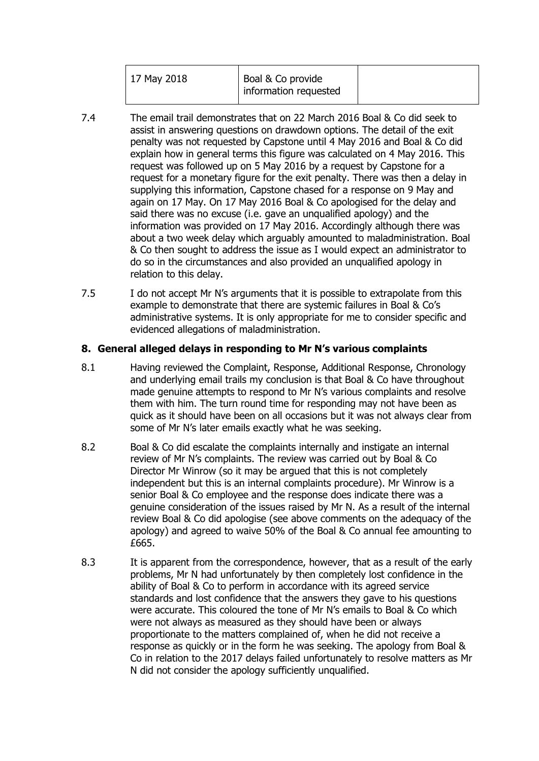|--|

- 7.4 The email trail demonstrates that on 22 March 2016 Boal & Co did seek to assist in answering questions on drawdown options. The detail of the exit penalty was not requested by Capstone until 4 May 2016 and Boal & Co did explain how in general terms this figure was calculated on 4 May 2016. This request was followed up on 5 May 2016 by a request by Capstone for a request for a monetary figure for the exit penalty. There was then a delay in supplying this information, Capstone chased for a response on 9 May and again on 17 May. On 17 May 2016 Boal & Co apologised for the delay and said there was no excuse (i.e. gave an unqualified apology) and the information was provided on 17 May 2016. Accordingly although there was about a two week delay which arguably amounted to maladministration. Boal & Co then sought to address the issue as I would expect an administrator to do so in the circumstances and also provided an unqualified apology in relation to this delay.
- 7.5 I do not accept Mr N's arguments that it is possible to extrapolate from this example to demonstrate that there are systemic failures in Boal & Co's administrative systems. It is only appropriate for me to consider specific and evidenced allegations of maladministration.

## **8. General alleged delays in responding to Mr N's various complaints**

- 8.1 Having reviewed the Complaint, Response, Additional Response, Chronology and underlying email trails my conclusion is that Boal & Co have throughout made genuine attempts to respond to Mr N's various complaints and resolve them with him. The turn round time for responding may not have been as quick as it should have been on all occasions but it was not always clear from some of Mr N's later emails exactly what he was seeking.
- 8.2 Boal & Co did escalate the complaints internally and instigate an internal review of Mr N's complaints. The review was carried out by Boal & Co Director Mr Winrow (so it may be argued that this is not completely independent but this is an internal complaints procedure). Mr Winrow is a senior Boal & Co employee and the response does indicate there was a genuine consideration of the issues raised by Mr N. As a result of the internal review Boal & Co did apologise (see above comments on the adequacy of the apology) and agreed to waive 50% of the Boal & Co annual fee amounting to £665.
- 8.3 It is apparent from the correspondence, however, that as a result of the early problems, Mr N had unfortunately by then completely lost confidence in the ability of Boal & Co to perform in accordance with its agreed service standards and lost confidence that the answers they gave to his questions were accurate. This coloured the tone of Mr N's emails to Boal & Co which were not always as measured as they should have been or always proportionate to the matters complained of, when he did not receive a response as quickly or in the form he was seeking. The apology from Boal & Co in relation to the 2017 delays failed unfortunately to resolve matters as Mr N did not consider the apology sufficiently unqualified.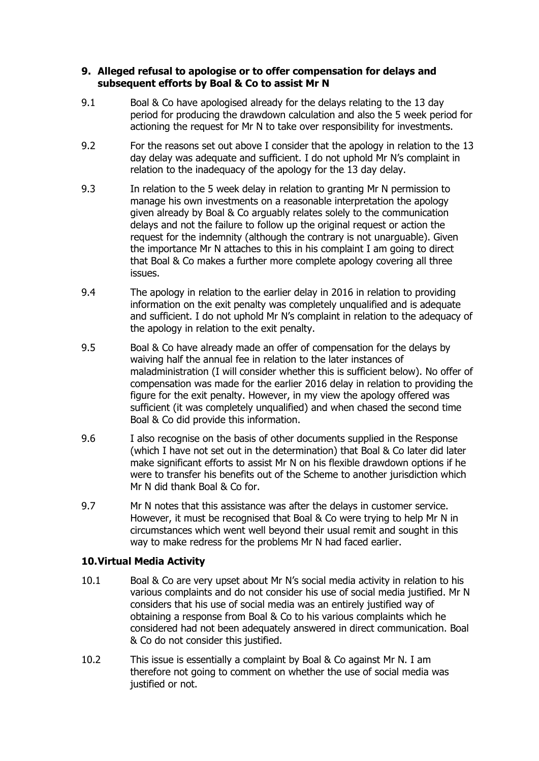### **9. Alleged refusal to apologise or to offer compensation for delays and subsequent efforts by Boal & Co to assist Mr N**

- 9.1 Boal & Co have apologised already for the delays relating to the 13 day period for producing the drawdown calculation and also the 5 week period for actioning the request for Mr N to take over responsibility for investments.
- 9.2 For the reasons set out above I consider that the apology in relation to the 13 day delay was adequate and sufficient. I do not uphold Mr N's complaint in relation to the inadequacy of the apology for the 13 day delay.
- 9.3 In relation to the 5 week delay in relation to granting Mr N permission to manage his own investments on a reasonable interpretation the apology given already by Boal & Co arguably relates solely to the communication delays and not the failure to follow up the original request or action the request for the indemnity (although the contrary is not unarguable). Given the importance Mr N attaches to this in his complaint I am going to direct that Boal & Co makes a further more complete apology covering all three issues.
- 9.4 The apology in relation to the earlier delay in 2016 in relation to providing information on the exit penalty was completely unqualified and is adequate and sufficient. I do not uphold Mr N's complaint in relation to the adequacy of the apology in relation to the exit penalty.
- 9.5 Boal & Co have already made an offer of compensation for the delays by waiving half the annual fee in relation to the later instances of maladministration (I will consider whether this is sufficient below). No offer of compensation was made for the earlier 2016 delay in relation to providing the figure for the exit penalty. However, in my view the apology offered was sufficient (it was completely unqualified) and when chased the second time Boal & Co did provide this information.
- 9.6 I also recognise on the basis of other documents supplied in the Response (which I have not set out in the determination) that Boal & Co later did later make significant efforts to assist Mr N on his flexible drawdown options if he were to transfer his benefits out of the Scheme to another jurisdiction which Mr N did thank Boal & Co for.
- 9.7 Mr N notes that this assistance was after the delays in customer service. However, it must be recognised that Boal & Co were trying to help Mr N in circumstances which went well beyond their usual remit and sought in this way to make redress for the problems Mr N had faced earlier.

## **10.Virtual Media Activity**

- 10.1 Boal & Co are very upset about Mr N's social media activity in relation to his various complaints and do not consider his use of social media justified. Mr N considers that his use of social media was an entirely justified way of obtaining a response from Boal & Co to his various complaints which he considered had not been adequately answered in direct communication. Boal & Co do not consider this justified.
- 10.2 This issue is essentially a complaint by Boal & Co against Mr N. I am therefore not going to comment on whether the use of social media was justified or not.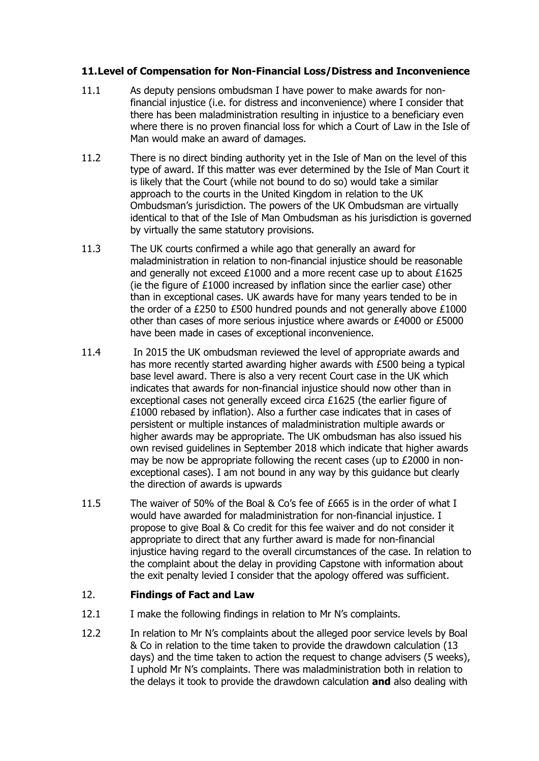## **11.Level of Compensation for Non-Financial Loss/Distress and Inconvenience**

- 11.1 As deputy pensions ombudsman I have power to make awards for nonfinancial injustice (i.e. for distress and inconvenience) where I consider that there has been maladministration resulting in injustice to a beneficiary even where there is no proven financial loss for which a Court of Law in the Isle of Man would make an award of damages.
- 11.2 There is no direct binding authority yet in the Isle of Man on the level of this type of award. If this matter was ever determined by the Isle of Man Court it is likely that the Court (while not bound to do so) would take a similar approach to the courts in the United Kingdom in relation to the UK Ombudsman's jurisdiction. The powers of the UK Ombudsman are virtually identical to that of the Isle of Man Ombudsman as his jurisdiction is governed by virtually the same statutory provisions.
- 11.3 The UK courts confirmed a while ago that generally an award for maladministration in relation to non-financial injustice should be reasonable and generally not exceed £1000 and a more recent case up to about £1625 (ie the figure of £1000 increased by inflation since the earlier case) other than in exceptional cases. UK awards have for many years tended to be in the order of a £250 to £500 hundred pounds and not generally above £1000 other than cases of more serious injustice where awards or £4000 or £5000 have been made in cases of exceptional inconvenience.
- 11.4 In 2015 the UK ombudsman reviewed the level of appropriate awards and has more recently started awarding higher awards with £500 being a typical base level award. There is also a very recent Court case in the UK which indicates that awards for non-financial injustice should now other than in exceptional cases not generally exceed circa £1625 (the earlier figure of £1000 rebased by inflation). Also a further case indicates that in cases of persistent or multiple instances of maladministration multiple awards or higher awards may be appropriate. The UK ombudsman has also issued his own revised guidelines in September 2018 which indicate that higher awards may be now be appropriate following the recent cases (up to £2000 in nonexceptional cases). I am not bound in any way by this guidance but clearly the direction of awards is upwards
- 11.5 The waiver of 50% of the Boal & Co's fee of £665 is in the order of what I would have awarded for maladministration for non-financial injustice. I propose to give Boal & Co credit for this fee waiver and do not consider it appropriate to direct that any further award is made for non-financial injustice having regard to the overall circumstances of the case. In relation to the complaint about the delay in providing Capstone with information about the exit penalty levied I consider that the apology offered was sufficient.

## 12. **Findings of Fact and Law**

- 12.1 I make the following findings in relation to Mr N's complaints.
- 12.2 In relation to Mr N's complaints about the alleged poor service levels by Boal & Co in relation to the time taken to provide the drawdown calculation (13 days) and the time taken to action the request to change advisers (5 weeks), I uphold Mr N's complaints. There was maladministration both in relation to the delays it took to provide the drawdown calculation **and** also dealing with